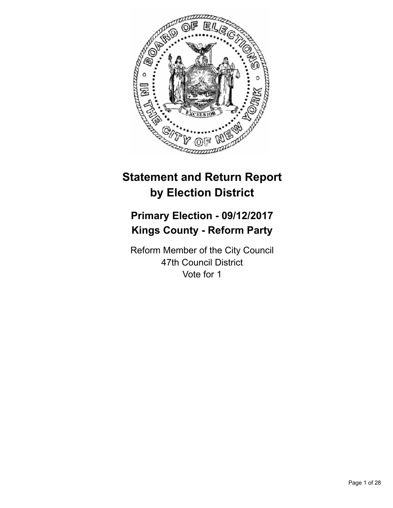

# **Statement and Return Report by Election District**

# **Primary Election - 09/12/2017 Kings County - Reform Party**

Reform Member of the City Council 47th Council District Vote for 1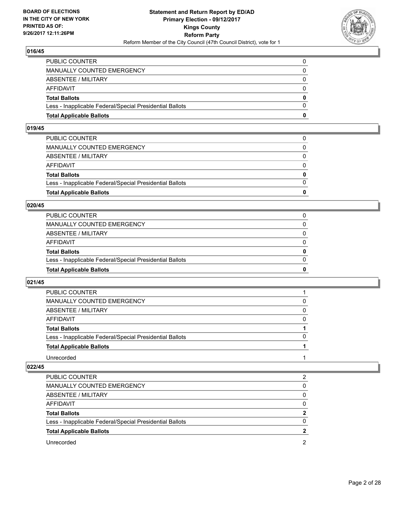

| <b>Total Applicable Ballots</b>                          | 0            |
|----------------------------------------------------------|--------------|
| Less - Inapplicable Federal/Special Presidential Ballots | $\Omega$     |
| <b>Total Ballots</b>                                     | $\mathbf{0}$ |
| AFFIDAVIT                                                | $\Omega$     |
| <b>ABSENTEE / MILITARY</b>                               | $\Omega$     |
| <b>MANUALLY COUNTED EMERGENCY</b>                        | 0            |
| PUBLIC COUNTER                                           | 0            |

#### **019/45**

| 0            |
|--------------|
| $\Omega$     |
| $\mathbf{0}$ |
| $\Omega$     |
| $\Omega$     |
| $\Omega$     |
| 0            |
|              |

#### **020/45**

| <b>Total Applicable Ballots</b>                          | 0        |
|----------------------------------------------------------|----------|
| Less - Inapplicable Federal/Special Presidential Ballots | 0        |
| <b>Total Ballots</b>                                     | 0        |
| AFFIDAVIT                                                | 0        |
| <b>ABSENTEE / MILITARY</b>                               | $\Omega$ |
| MANUALLY COUNTED EMERGENCY                               |          |
| PUBLIC COUNTER                                           |          |

#### **021/45**

| <b>PUBLIC COUNTER</b>                                    |              |
|----------------------------------------------------------|--------------|
| MANUALLY COUNTED EMERGENCY                               | 0            |
| ABSENTEE / MILITARY                                      | 0            |
| AFFIDAVIT                                                | 0            |
| <b>Total Ballots</b>                                     |              |
| Less - Inapplicable Federal/Special Presidential Ballots | <sup>0</sup> |
| <b>Total Applicable Ballots</b>                          |              |
| Unrecorded                                               |              |

| <b>PUBLIC COUNTER</b>                                    | 2        |
|----------------------------------------------------------|----------|
| MANUALLY COUNTED EMERGENCY                               | 0        |
| ABSENTEE / MILITARY                                      | 0        |
| AFFIDAVIT                                                | 0        |
| <b>Total Ballots</b>                                     |          |
| Less - Inapplicable Federal/Special Presidential Ballots | $\Omega$ |
| <b>Total Applicable Ballots</b>                          | 2        |
| Unrecorded                                               | 2        |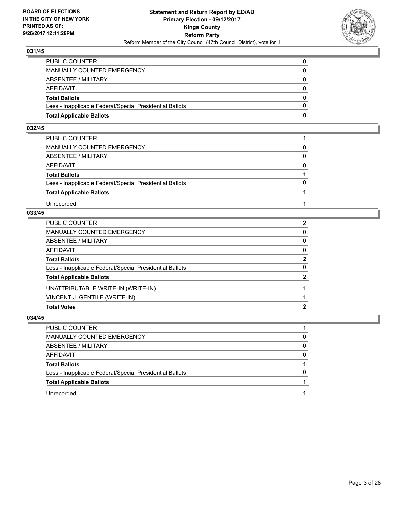

| <b>Total Applicable Ballots</b>                          | 0            |
|----------------------------------------------------------|--------------|
| Less - Inapplicable Federal/Special Presidential Ballots | $\Omega$     |
| <b>Total Ballots</b>                                     | $\mathbf{0}$ |
| <b>AFFIDAVIT</b>                                         | 0            |
| <b>ABSENTEE / MILITARY</b>                               | $\Omega$     |
| <b>MANUALLY COUNTED EMERGENCY</b>                        | 0            |
| PUBLIC COUNTER                                           |              |

## **032/45**

| PUBLIC COUNTER                                           |          |
|----------------------------------------------------------|----------|
| MANUALLY COUNTED EMERGENCY                               | 0        |
| ABSENTEE / MILITARY                                      | $\Omega$ |
| AFFIDAVIT                                                | $\Omega$ |
| <b>Total Ballots</b>                                     |          |
| Less - Inapplicable Federal/Special Presidential Ballots | $\Omega$ |
| <b>Total Applicable Ballots</b>                          |          |
| Unrecorded                                               |          |

### **033/45**

| <b>Total Votes</b>                                       | 2              |
|----------------------------------------------------------|----------------|
| VINCENT J. GENTILE (WRITE-IN)                            |                |
| UNATTRIBUTABLE WRITE-IN (WRITE-IN)                       |                |
| <b>Total Applicable Ballots</b>                          | $\mathbf{2}$   |
| Less - Inapplicable Federal/Special Presidential Ballots | 0              |
| Total Ballots                                            | $\mathbf{2}$   |
| AFFIDAVIT                                                | $\mathbf{0}$   |
| ABSENTEE / MILITARY                                      | 0              |
| MANUALLY COUNTED EMERGENCY                               | 0              |
| PUBLIC COUNTER                                           | $\overline{2}$ |

| PUBLIC COUNTER                                           |          |
|----------------------------------------------------------|----------|
| MANUALLY COUNTED EMERGENCY                               | 0        |
| <b>ABSENTEE / MILITARY</b>                               | 0        |
| <b>AFFIDAVIT</b>                                         | $\Omega$ |
| <b>Total Ballots</b>                                     |          |
| Less - Inapplicable Federal/Special Presidential Ballots | $\Omega$ |
| <b>Total Applicable Ballots</b>                          |          |
| Unrecorded                                               |          |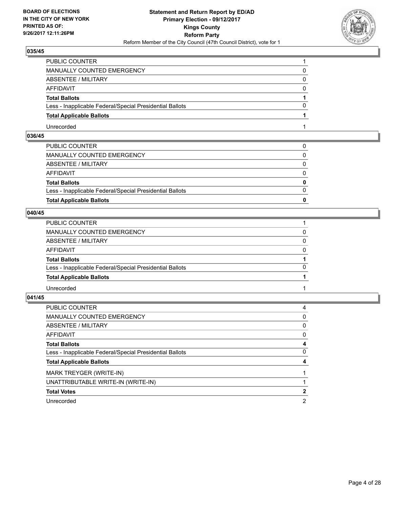

| PUBLIC COUNTER                                           |  |
|----------------------------------------------------------|--|
| <b>MANUALLY COUNTED EMERGENCY</b>                        |  |
| <b>ABSENTEE / MILITARY</b>                               |  |
| AFFIDAVIT                                                |  |
| <b>Total Ballots</b>                                     |  |
| Less - Inapplicable Federal/Special Presidential Ballots |  |
| <b>Total Applicable Ballots</b>                          |  |
| Unrecorded                                               |  |

# **036/45**

| <b>Total Applicable Ballots</b>                          | 0            |
|----------------------------------------------------------|--------------|
|                                                          |              |
| Less - Inapplicable Federal/Special Presidential Ballots | $\Omega$     |
| <b>Total Ballots</b>                                     | $\mathbf{0}$ |
| AFFIDAVIT                                                | $\Omega$     |
| ABSENTEE / MILITARY                                      | $\Omega$     |
| MANUALLY COUNTED EMERGENCY                               | 0            |
| PUBLIC COUNTER                                           | $\Omega$     |

# **040/45**

| PUBLIC COUNTER                                           |          |
|----------------------------------------------------------|----------|
| MANUALLY COUNTED EMERGENCY                               | 0        |
| ABSENTEE / MILITARY                                      | 0        |
| AFFIDAVIT                                                | $\Omega$ |
| <b>Total Ballots</b>                                     |          |
| Less - Inapplicable Federal/Special Presidential Ballots | 0        |
| <b>Total Applicable Ballots</b>                          |          |
| Unrecorded                                               |          |

| PUBLIC COUNTER                                           | 4 |
|----------------------------------------------------------|---|
| <b>MANUALLY COUNTED EMERGENCY</b>                        | 0 |
| ABSENTEE / MILITARY                                      | 0 |
| AFFIDAVIT                                                | 0 |
| <b>Total Ballots</b>                                     | 4 |
| Less - Inapplicable Federal/Special Presidential Ballots | 0 |
| <b>Total Applicable Ballots</b>                          | 4 |
| MARK TREYGER (WRITE-IN)                                  |   |
| UNATTRIBUTABLE WRITE-IN (WRITE-IN)                       |   |
| <b>Total Votes</b>                                       | 2 |
| Unrecorded                                               | 2 |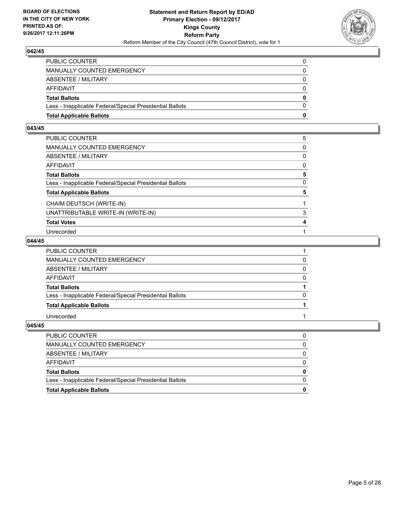

| <b>Total Applicable Ballots</b>                          | 0        |
|----------------------------------------------------------|----------|
| Less - Inapplicable Federal/Special Presidential Ballots | $\Omega$ |
| <b>Total Ballots</b>                                     | 0        |
| AFFIDAVIT                                                | 0        |
| <b>ABSENTEE / MILITARY</b>                               | $\Omega$ |
| MANUALLY COUNTED EMERGENCY                               | 0        |
| PUBLIC COUNTER                                           | 0        |

#### **043/45**

| PUBLIC COUNTER                                           | 5            |
|----------------------------------------------------------|--------------|
|                                                          |              |
| MANUALLY COUNTED EMERGENCY                               | 0            |
| ABSENTEE / MILITARY                                      | $\mathbf{0}$ |
| AFFIDAVIT                                                | 0            |
| <b>Total Ballots</b>                                     | 5            |
| Less - Inapplicable Federal/Special Presidential Ballots | 0            |
| <b>Total Applicable Ballots</b>                          | 5            |
| CHAIM DEUTSCH (WRITE-IN)                                 |              |
| UNATTRIBUTABLE WRITE-IN (WRITE-IN)                       | 3            |
| <b>Total Votes</b>                                       | 4            |
| Unrecorded                                               |              |

#### **044/45**

| PUBLIC COUNTER                                           |          |
|----------------------------------------------------------|----------|
| <b>MANUALLY COUNTED EMERGENCY</b>                        |          |
| ABSENTEE / MILITARY                                      |          |
| <b>AFFIDAVIT</b>                                         | $\Omega$ |
| <b>Total Ballots</b>                                     |          |
| Less - Inapplicable Federal/Special Presidential Ballots | 0        |
| <b>Total Applicable Ballots</b>                          |          |
| Unrecorded                                               |          |

| <b>Total Applicable Ballots</b>                          |  |
|----------------------------------------------------------|--|
| Less - Inapplicable Federal/Special Presidential Ballots |  |
| <b>Total Ballots</b>                                     |  |
| AFFIDAVIT                                                |  |
| ABSENTEE / MILITARY                                      |  |
| MANUALLY COUNTED EMERGENCY                               |  |
| <b>PUBLIC COUNTER</b>                                    |  |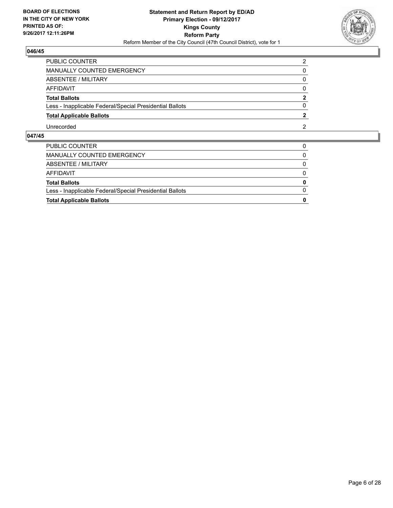

| PUBLIC COUNTER                                           | 2              |
|----------------------------------------------------------|----------------|
| MANUALLY COUNTED EMERGENCY                               | 0              |
| <b>ABSENTEE / MILITARY</b>                               | 0              |
| <b>AFFIDAVIT</b>                                         | $\Omega$       |
| <b>Total Ballots</b>                                     | $\overline{2}$ |
| Less - Inapplicable Federal/Special Presidential Ballots | 0              |
| <b>Total Applicable Ballots</b>                          | 2              |
| Unrecorded                                               | 2              |

| <b>Total Applicable Ballots</b>                          | 0            |
|----------------------------------------------------------|--------------|
| Less - Inapplicable Federal/Special Presidential Ballots | $\Omega$     |
| <b>Total Ballots</b>                                     | $\mathbf{0}$ |
| AFFIDAVIT                                                | $\Omega$     |
| ABSENTEE / MILITARY                                      | $\mathbf{0}$ |
| MANUALLY COUNTED EMERGENCY                               | 0            |
| PUBLIC COUNTER                                           |              |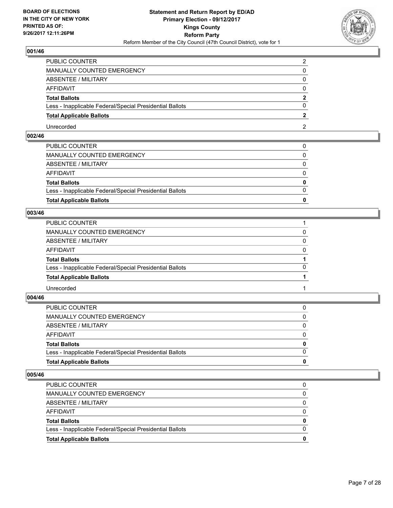

| PUBLIC COUNTER                                           |  |
|----------------------------------------------------------|--|
| MANUALLY COUNTED EMERGENCY                               |  |
| <b>ABSENTEE / MILITARY</b>                               |  |
| AFFIDAVIT                                                |  |
| <b>Total Ballots</b>                                     |  |
| Less - Inapplicable Federal/Special Presidential Ballots |  |
| <b>Total Applicable Ballots</b>                          |  |
| Unrecorded                                               |  |

# **002/46**

| <b>Total Applicable Ballots</b>                          | 0            |
|----------------------------------------------------------|--------------|
|                                                          |              |
| Less - Inapplicable Federal/Special Presidential Ballots | $\Omega$     |
| <b>Total Ballots</b>                                     | $\mathbf{0}$ |
| AFFIDAVIT                                                | $\Omega$     |
| ABSENTEE / MILITARY                                      | $\Omega$     |
| MANUALLY COUNTED EMERGENCY                               | 0            |
| PUBLIC COUNTER                                           | $\Omega$     |

# **003/46**

| PUBLIC COUNTER                                           |          |
|----------------------------------------------------------|----------|
| MANUALLY COUNTED EMERGENCY                               | 0        |
| ABSENTEE / MILITARY                                      | 0        |
| AFFIDAVIT                                                | $\Omega$ |
| <b>Total Ballots</b>                                     |          |
| Less - Inapplicable Federal/Special Presidential Ballots | 0        |
| <b>Total Applicable Ballots</b>                          |          |
| Unrecorded                                               |          |

#### **004/46**

| <b>Total Applicable Ballots</b>                          | 0            |
|----------------------------------------------------------|--------------|
| Less - Inapplicable Federal/Special Presidential Ballots | $\Omega$     |
| <b>Total Ballots</b>                                     | $\bf{0}$     |
| <b>AFFIDAVIT</b>                                         | $\Omega$     |
| ABSENTEE / MILITARY                                      | $\mathbf{0}$ |
| MANUALLY COUNTED EMERGENCY                               | $\Omega$     |
| PUBLIC COUNTER                                           | 0            |

| <b>PUBLIC COUNTER</b>                                    |   |
|----------------------------------------------------------|---|
| MANUALLY COUNTED EMERGENCY                               |   |
| ABSENTEE / MILITARY                                      |   |
| AFFIDAVIT                                                |   |
| <b>Total Ballots</b>                                     | 0 |
| Less - Inapplicable Federal/Special Presidential Ballots |   |
| <b>Total Applicable Ballots</b>                          | o |
|                                                          |   |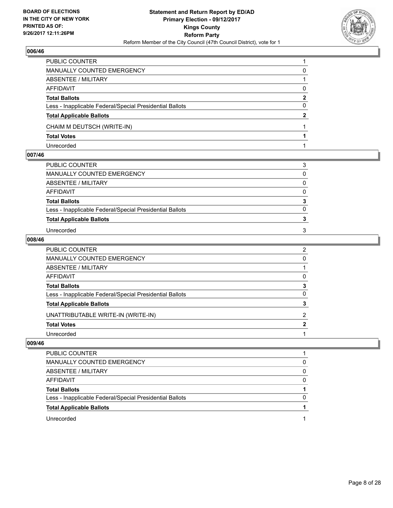

| <b>PUBLIC COUNTER</b>                                    |              |
|----------------------------------------------------------|--------------|
| MANUALLY COUNTED EMERGENCY                               | 0            |
| ABSENTEE / MILITARY                                      |              |
| AFFIDAVIT                                                | 0            |
| <b>Total Ballots</b>                                     | 2            |
| Less - Inapplicable Federal/Special Presidential Ballots | 0            |
| <b>Total Applicable Ballots</b>                          | $\mathbf{2}$ |
| CHAIM M DEUTSCH (WRITE-IN)                               |              |
| <b>Total Votes</b>                                       |              |
| Unrecorded                                               |              |

#### **007/46**

| PUBLIC COUNTER                                           | 3        |
|----------------------------------------------------------|----------|
| MANUALLY COUNTED EMERGENCY                               | $\Omega$ |
| ABSENTEE / MILITARY                                      | 0        |
| AFFIDAVIT                                                | $\Omega$ |
| <b>Total Ballots</b>                                     | 3        |
| Less - Inapplicable Federal/Special Presidential Ballots | $\Omega$ |
| <b>Total Applicable Ballots</b>                          |          |
| Unrecorded                                               | 3        |

#### **008/46**

| PUBLIC COUNTER                                           | 2              |
|----------------------------------------------------------|----------------|
| MANUALLY COUNTED EMERGENCY                               | $\Omega$       |
| ABSENTEE / MILITARY                                      |                |
| AFFIDAVIT                                                | 0              |
| Total Ballots                                            | 3              |
| Less - Inapplicable Federal/Special Presidential Ballots | 0              |
| <b>Total Applicable Ballots</b>                          | 3              |
| UNATTRIBUTABLE WRITE-IN (WRITE-IN)                       | $\overline{2}$ |
| <b>Total Votes</b>                                       | $\overline{2}$ |
| Unrecorded                                               |                |

| <b>PUBLIC COUNTER</b>                                    |   |
|----------------------------------------------------------|---|
| MANUALLY COUNTED EMERGENCY                               | 0 |
| ABSENTEE / MILITARY                                      | 0 |
| AFFIDAVIT                                                | 0 |
| <b>Total Ballots</b>                                     |   |
| Less - Inapplicable Federal/Special Presidential Ballots | 0 |
| <b>Total Applicable Ballots</b>                          |   |
| Unrecorded                                               |   |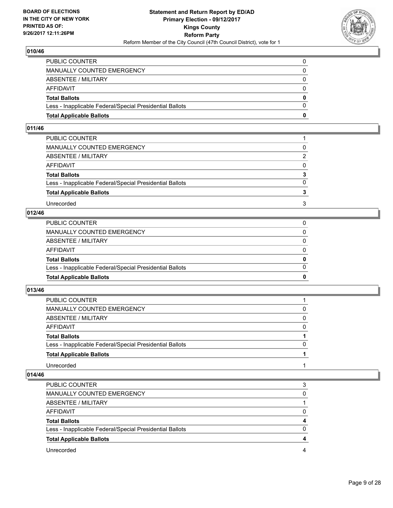

| <b>Total Applicable Ballots</b>                          | 0            |
|----------------------------------------------------------|--------------|
| Less - Inapplicable Federal/Special Presidential Ballots | $\Omega$     |
| <b>Total Ballots</b>                                     | $\mathbf{0}$ |
| <b>AFFIDAVIT</b>                                         | 0            |
| <b>ABSENTEE / MILITARY</b>                               | $\Omega$     |
| <b>MANUALLY COUNTED EMERGENCY</b>                        | 0            |
| PUBLIC COUNTER                                           |              |

#### **011/46**

| PUBLIC COUNTER                                           |                |
|----------------------------------------------------------|----------------|
| MANUALLY COUNTED EMERGENCY                               | 0              |
| ABSENTEE / MILITARY                                      | $\overline{2}$ |
| AFFIDAVIT                                                | $\Omega$       |
| <b>Total Ballots</b>                                     | 3              |
| Less - Inapplicable Federal/Special Presidential Ballots | $\Omega$       |
| <b>Total Applicable Ballots</b>                          |                |
| Unrecorded                                               | 3              |

# **012/46**

| <b>Total Applicable Ballots</b>                          | 0            |
|----------------------------------------------------------|--------------|
| Less - Inapplicable Federal/Special Presidential Ballots | $\Omega$     |
| Total Ballots                                            | $\mathbf{0}$ |
| AFFIDAVIT                                                | $\Omega$     |
| ABSENTEE / MILITARY                                      | $\Omega$     |
| MANUALLY COUNTED EMERGENCY                               | 0            |
| PUBLIC COUNTER                                           |              |

#### **013/46**

| <b>PUBLIC COUNTER</b>                                    |          |
|----------------------------------------------------------|----------|
| MANUALLY COUNTED EMERGENCY                               |          |
| ABSENTEE / MILITARY                                      | $\Omega$ |
| AFFIDAVIT                                                | $\Omega$ |
| <b>Total Ballots</b>                                     |          |
| Less - Inapplicable Federal/Special Presidential Ballots | 0        |
| <b>Total Applicable Ballots</b>                          |          |
| Unrecorded                                               |          |

| <b>PUBLIC COUNTER</b>                                    | 3        |
|----------------------------------------------------------|----------|
| MANUALLY COUNTED EMERGENCY                               | 0        |
| ABSENTEE / MILITARY                                      |          |
| AFFIDAVIT                                                | 0        |
| <b>Total Ballots</b>                                     | 4        |
| Less - Inapplicable Federal/Special Presidential Ballots | $\Omega$ |
| <b>Total Applicable Ballots</b>                          | 4        |
| Unrecorded                                               |          |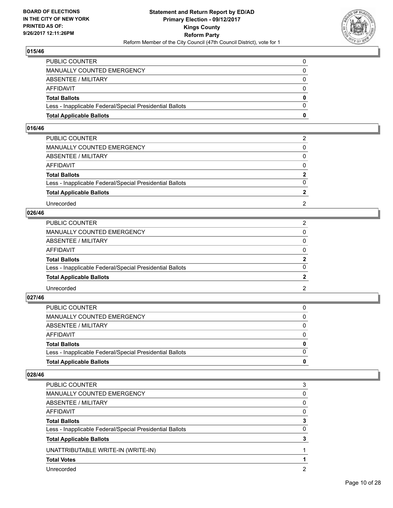

| <b>Total Applicable Ballots</b>                          | 0        |
|----------------------------------------------------------|----------|
| Less - Inapplicable Federal/Special Presidential Ballots | $\Omega$ |
| <b>Total Ballots</b>                                     | 0        |
| <b>AFFIDAVIT</b>                                         | 0        |
| ABSENTEE / MILITARY                                      | $\Omega$ |
| <b>MANUALLY COUNTED EMERGENCY</b>                        |          |
| PUBLIC COUNTER                                           |          |

#### **016/46**

| PUBLIC COUNTER                                           | 2            |
|----------------------------------------------------------|--------------|
| MANUALLY COUNTED EMERGENCY                               | 0            |
| <b>ABSENTEE / MILITARY</b>                               | $\Omega$     |
| AFFIDAVIT                                                | $\Omega$     |
| <b>Total Ballots</b>                                     | $\mathbf{2}$ |
| Less - Inapplicable Federal/Special Presidential Ballots | $\Omega$     |
| <b>Total Applicable Ballots</b>                          |              |
| Unrecorded                                               | 2            |

### **026/46**

| PUBLIC COUNTER                                           | 2              |
|----------------------------------------------------------|----------------|
| MANUALLY COUNTED EMERGENCY                               | 0              |
| ABSENTEE / MILITARY                                      | $\Omega$       |
| AFFIDAVIT                                                | $\Omega$       |
| <b>Total Ballots</b>                                     | $\overline{2}$ |
| Less - Inapplicable Federal/Special Presidential Ballots | 0              |
| <b>Total Applicable Ballots</b>                          |                |
| Unrecorded                                               | 2              |

#### **027/46**

| <b>Total Applicable Ballots</b>                          | 0            |
|----------------------------------------------------------|--------------|
| Less - Inapplicable Federal/Special Presidential Ballots | $\Omega$     |
| <b>Total Ballots</b>                                     | $\mathbf{0}$ |
| <b>AFFIDAVIT</b>                                         | $\Omega$     |
| ABSENTEE / MILITARY                                      | $\Omega$     |
| <b>MANUALLY COUNTED EMERGENCY</b>                        | 0            |
| PUBLIC COUNTER                                           |              |

| <b>PUBLIC COUNTER</b>                                    | 3 |
|----------------------------------------------------------|---|
| MANUALLY COUNTED EMERGENCY                               | 0 |
| ABSENTEE / MILITARY                                      | 0 |
| AFFIDAVIT                                                | 0 |
| <b>Total Ballots</b>                                     | з |
| Less - Inapplicable Federal/Special Presidential Ballots | 0 |
| <b>Total Applicable Ballots</b>                          | 3 |
| UNATTRIBUTABLE WRITE-IN (WRITE-IN)                       |   |
| <b>Total Votes</b>                                       |   |
| Unrecorded                                               | 2 |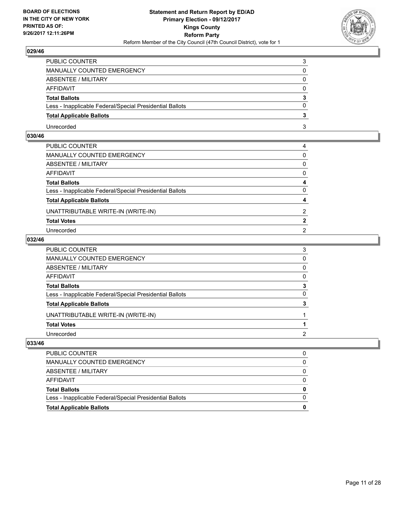

| PUBLIC COUNTER                                           | 3        |
|----------------------------------------------------------|----------|
| MANUALLY COUNTED EMERGENCY                               | 0        |
| <b>ABSENTEE / MILITARY</b>                               | 0        |
| <b>AFFIDAVIT</b>                                         | $\Omega$ |
| <b>Total Ballots</b>                                     | 3        |
| Less - Inapplicable Federal/Special Presidential Ballots | $\Omega$ |
| <b>Total Applicable Ballots</b>                          |          |
| Unrecorded                                               | 3        |

# **030/46**

| PUBLIC COUNTER                                           | 4              |
|----------------------------------------------------------|----------------|
| MANUALLY COUNTED EMERGENCY                               | $\Omega$       |
| ABSENTEE / MILITARY                                      | 0              |
| AFFIDAVIT                                                | 0              |
| Total Ballots                                            | 4              |
| Less - Inapplicable Federal/Special Presidential Ballots | 0              |
| <b>Total Applicable Ballots</b>                          | 4              |
| UNATTRIBUTABLE WRITE-IN (WRITE-IN)                       | 2              |
| <b>Total Votes</b>                                       | $\mathbf{2}$   |
| Unrecorded                                               | $\overline{2}$ |
|                                                          |                |

#### **032/46**

| PUBLIC COUNTER                                           | 3            |
|----------------------------------------------------------|--------------|
| MANUALLY COUNTED EMERGENCY                               | $\mathbf{0}$ |
| ABSENTEE / MILITARY                                      | 0            |
| AFFIDAVIT                                                | $\mathbf{0}$ |
| Total Ballots                                            | 3            |
| Less - Inapplicable Federal/Special Presidential Ballots | 0            |
| <b>Total Applicable Ballots</b>                          | 3            |
| UNATTRIBUTABLE WRITE-IN (WRITE-IN)                       |              |
| <b>Total Votes</b>                                       |              |
| Unrecorded                                               | 2            |

| PUBLIC COUNTER                                           |  |
|----------------------------------------------------------|--|
| MANUALLY COUNTED EMERGENCY                               |  |
| ABSENTEE / MILITARY                                      |  |
| AFFIDAVIT                                                |  |
| <b>Total Ballots</b>                                     |  |
| Less - Inapplicable Federal/Special Presidential Ballots |  |
| <b>Total Applicable Ballots</b>                          |  |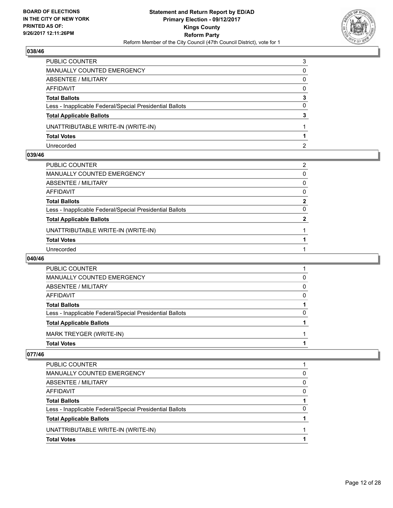

| PUBLIC COUNTER                                           | 3 |
|----------------------------------------------------------|---|
| MANUALLY COUNTED EMERGENCY                               | 0 |
| <b>ABSENTEE / MILITARY</b>                               | 0 |
| AFFIDAVIT                                                | 0 |
| <b>Total Ballots</b>                                     | 3 |
| Less - Inapplicable Federal/Special Presidential Ballots | 0 |
| <b>Total Applicable Ballots</b>                          | 3 |
| UNATTRIBUTABLE WRITE-IN (WRITE-IN)                       |   |
| <b>Total Votes</b>                                       |   |
| Unrecorded                                               | 2 |

#### **039/46**

| PUBLIC COUNTER                                           | 2              |
|----------------------------------------------------------|----------------|
| MANUALLY COUNTED EMERGENCY                               | 0              |
| ABSENTEE / MILITARY                                      | $\Omega$       |
| AFFIDAVIT                                                | 0              |
| Total Ballots                                            | $\mathbf{2}$   |
| Less - Inapplicable Federal/Special Presidential Ballots | 0              |
| <b>Total Applicable Ballots</b>                          | $\overline{2}$ |
| UNATTRIBUTABLE WRITE-IN (WRITE-IN)                       |                |
| <b>Total Votes</b>                                       |                |
| Unrecorded                                               |                |

#### **040/46**

| <b>PUBLIC COUNTER</b>                                    |   |
|----------------------------------------------------------|---|
| <b>MANUALLY COUNTED EMERGENCY</b>                        | 0 |
| ABSENTEE / MILITARY                                      | 0 |
| AFFIDAVIT                                                | 0 |
| <b>Total Ballots</b>                                     |   |
| Less - Inapplicable Federal/Special Presidential Ballots | 0 |
| <b>Total Applicable Ballots</b>                          |   |
| MARK TREYGER (WRITE-IN)                                  |   |
| <b>Total Votes</b>                                       |   |

| PUBLIC COUNTER                                           |   |
|----------------------------------------------------------|---|
| MANUALLY COUNTED EMERGENCY                               | 0 |
| ABSENTEE / MILITARY                                      | 0 |
| AFFIDAVIT                                                | 0 |
| <b>Total Ballots</b>                                     |   |
| Less - Inapplicable Federal/Special Presidential Ballots | 0 |
| <b>Total Applicable Ballots</b>                          |   |
| UNATTRIBUTABLE WRITE-IN (WRITE-IN)                       |   |
| <b>Total Votes</b>                                       |   |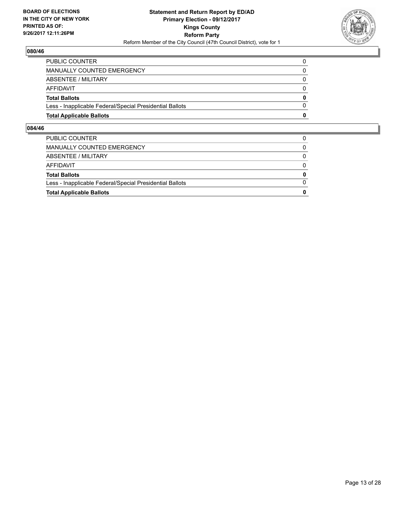

| <b>Total Applicable Ballots</b>                          | 0        |
|----------------------------------------------------------|----------|
| Less - Inapplicable Federal/Special Presidential Ballots | 0        |
| <b>Total Ballots</b>                                     | 0        |
| <b>AFFIDAVIT</b>                                         | $\Omega$ |
| ABSENTEE / MILITARY                                      | 0        |
| MANUALLY COUNTED EMERGENCY                               | 0        |
| <b>PUBLIC COUNTER</b>                                    |          |

| <b>Total Applicable Ballots</b>                          | 0 |
|----------------------------------------------------------|---|
| Less - Inapplicable Federal/Special Presidential Ballots |   |
| <b>Total Ballots</b>                                     | 0 |
| <b>AFFIDAVIT</b>                                         | 0 |
| ABSENTEE / MILITARY                                      | 0 |
| MANUALLY COUNTED EMERGENCY                               | 0 |
| <b>PUBLIC COUNTER</b>                                    |   |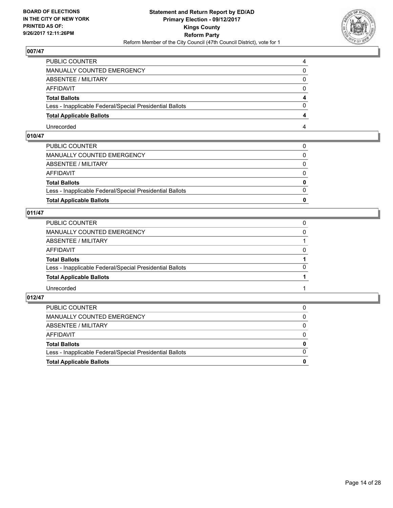

| PUBLIC COUNTER                                           |  |
|----------------------------------------------------------|--|
| <b>MANUALLY COUNTED EMERGENCY</b>                        |  |
| <b>ABSENTEE / MILITARY</b>                               |  |
| AFFIDAVIT                                                |  |
| <b>Total Ballots</b>                                     |  |
| Less - Inapplicable Federal/Special Presidential Ballots |  |
| <b>Total Applicable Ballots</b>                          |  |
| Unrecorded                                               |  |

# **010/47**

| <b>Total Applicable Ballots</b>                          | $\bf{0}$     |
|----------------------------------------------------------|--------------|
| Less - Inapplicable Federal/Special Presidential Ballots | $\Omega$     |
| <b>Total Ballots</b>                                     | $\mathbf{0}$ |
| AFFIDAVIT                                                | $\Omega$     |
| ABSENTEE / MILITARY                                      | $\Omega$     |
| MANUALLY COUNTED EMERGENCY                               | $\mathbf{0}$ |
| PUBLIC COUNTER                                           | 0            |

# **011/47**

| PUBLIC COUNTER                                           | 0        |
|----------------------------------------------------------|----------|
| MANUALLY COUNTED EMERGENCY                               | 0        |
| ABSENTEE / MILITARY                                      |          |
| AFFIDAVIT                                                | $\Omega$ |
| <b>Total Ballots</b>                                     |          |
| Less - Inapplicable Federal/Special Presidential Ballots | $\Omega$ |
| <b>Total Applicable Ballots</b>                          |          |
| Unrecorded                                               |          |

| <b>Total Applicable Ballots</b>                          | 0            |
|----------------------------------------------------------|--------------|
| Less - Inapplicable Federal/Special Presidential Ballots | $\Omega$     |
| <b>Total Ballots</b>                                     | $\mathbf{0}$ |
| AFFIDAVIT                                                | $\Omega$     |
| ABSENTEE / MILITARY                                      | 0            |
| MANUALLY COUNTED EMERGENCY                               | $\mathbf{0}$ |
| PUBLIC COUNTER                                           |              |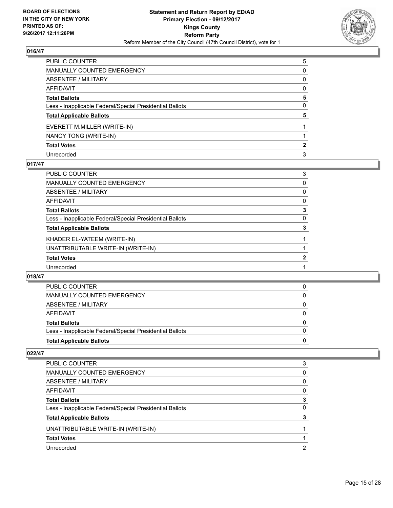

| PUBLIC COUNTER                                           | 5 |
|----------------------------------------------------------|---|
| <b>MANUALLY COUNTED EMERGENCY</b>                        | 0 |
| <b>ABSENTEE / MILITARY</b>                               | 0 |
| <b>AFFIDAVIT</b>                                         | 0 |
| <b>Total Ballots</b>                                     | 5 |
| Less - Inapplicable Federal/Special Presidential Ballots | 0 |
| <b>Total Applicable Ballots</b>                          | 5 |
| EVERETT M.MILLER (WRITE-IN)                              |   |
| NANCY TONG (WRITE-IN)                                    |   |
| <b>Total Votes</b>                                       | 2 |
| Unrecorded                                               | 3 |

#### **017/47**

| PUBLIC COUNTER                                           | 3 |
|----------------------------------------------------------|---|
| <b>MANUALLY COUNTED EMERGENCY</b>                        | 0 |
| ABSENTEE / MILITARY                                      | 0 |
| AFFIDAVIT                                                | 0 |
| <b>Total Ballots</b>                                     | 3 |
| Less - Inapplicable Federal/Special Presidential Ballots | 0 |
| <b>Total Applicable Ballots</b>                          | 3 |
| KHADER EL-YATEEM (WRITE-IN)                              |   |
| UNATTRIBUTABLE WRITE-IN (WRITE-IN)                       |   |
| <b>Total Votes</b>                                       | 2 |
| Unrecorded                                               |   |

#### **018/47**

| <b>PUBLIC COUNTER</b>                                    |   |
|----------------------------------------------------------|---|
| MANUALLY COUNTED EMERGENCY                               | 0 |
| ABSENTEE / MILITARY                                      |   |
| AFFIDAVIT                                                |   |
| <b>Total Ballots</b>                                     | 0 |
| Less - Inapplicable Federal/Special Presidential Ballots | 0 |
| <b>Total Applicable Ballots</b>                          | 0 |
|                                                          |   |

| <b>PUBLIC COUNTER</b>                                    | 3 |
|----------------------------------------------------------|---|
| <b>MANUALLY COUNTED EMERGENCY</b>                        | 0 |
| ABSENTEE / MILITARY                                      | 0 |
| AFFIDAVIT                                                | 0 |
| <b>Total Ballots</b>                                     |   |
| Less - Inapplicable Federal/Special Presidential Ballots | 0 |
| <b>Total Applicable Ballots</b>                          |   |
| UNATTRIBUTABLE WRITE-IN (WRITE-IN)                       |   |
| <b>Total Votes</b>                                       |   |
| Unrecorded                                               | 2 |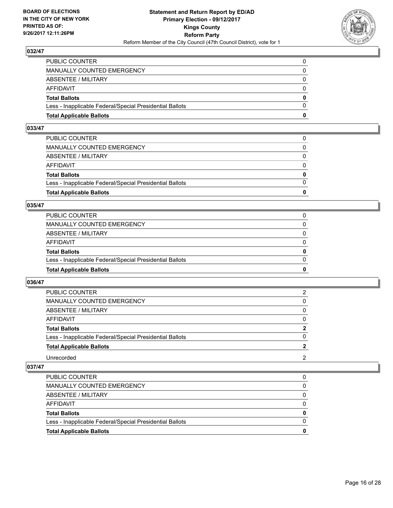

| <b>Total Applicable Ballots</b>                          | 0        |
|----------------------------------------------------------|----------|
| Less - Inapplicable Federal/Special Presidential Ballots | $\Omega$ |
| <b>Total Ballots</b>                                     | $\bf{0}$ |
| <b>AFFIDAVIT</b>                                         | 0        |
| <b>ABSENTEE / MILITARY</b>                               | $\Omega$ |
| <b>MANUALLY COUNTED EMERGENCY</b>                        | $\Omega$ |
| PUBLIC COUNTER                                           |          |

#### **033/47**

| PUBLIC COUNTER                                           | 0            |
|----------------------------------------------------------|--------------|
| MANUALLY COUNTED EMERGENCY                               | 0            |
| ABSENTEE / MILITARY                                      | $\Omega$     |
| AFFIDAVIT                                                | $\Omega$     |
| <b>Total Ballots</b>                                     | $\mathbf{0}$ |
| Less - Inapplicable Federal/Special Presidential Ballots | $\Omega$     |
| <b>Total Applicable Ballots</b>                          | 0            |
|                                                          |              |

#### **035/47**

| <b>Total Applicable Ballots</b>                          | 0        |
|----------------------------------------------------------|----------|
| Less - Inapplicable Federal/Special Presidential Ballots | $\Omega$ |
| <b>Total Ballots</b>                                     | 0        |
| <b>AFFIDAVIT</b>                                         | 0        |
| ABSENTEE / MILITARY                                      | $\Omega$ |
| <b>MANUALLY COUNTED EMERGENCY</b>                        | 0        |
| PUBLIC COUNTER                                           |          |

#### **036/47**

| <b>PUBLIC COUNTER</b>                                    | 2              |
|----------------------------------------------------------|----------------|
| MANUALLY COUNTED EMERGENCY                               | 0              |
| ABSENTEE / MILITARY                                      | 0              |
| <b>AFFIDAVIT</b>                                         | $\Omega$       |
| <b>Total Ballots</b>                                     | $\overline{2}$ |
| Less - Inapplicable Federal/Special Presidential Ballots | $\Omega$       |
| <b>Total Applicable Ballots</b>                          |                |
| Unrecorded                                               | 2              |

| <b>Total Applicable Ballots</b>                          | o |
|----------------------------------------------------------|---|
| Less - Inapplicable Federal/Special Presidential Ballots |   |
| <b>Total Ballots</b>                                     | 0 |
| AFFIDAVIT                                                |   |
| ABSENTEE / MILITARY                                      |   |
| MANUALLY COUNTED EMERGENCY                               | 0 |
| <b>PUBLIC COUNTER</b>                                    | 0 |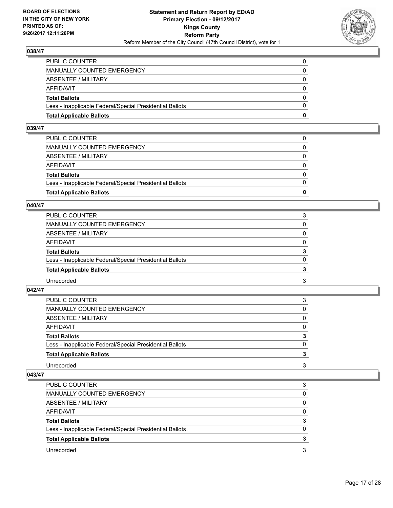

| <b>Total Applicable Ballots</b>                          | n        |
|----------------------------------------------------------|----------|
| Less - Inapplicable Federal/Special Presidential Ballots | $\Omega$ |
| <b>Total Ballots</b>                                     | $\bf{0}$ |
| AFFIDAVIT                                                | $\Omega$ |
| <b>ABSENTEE / MILITARY</b>                               | $\Omega$ |
| MANUALLY COUNTED EMERGENCY                               | 0        |
| PUBLIC COUNTER                                           | 0        |

## **039/47**

| <b>Total Applicable Ballots</b>                          | 0            |
|----------------------------------------------------------|--------------|
|                                                          |              |
| Less - Inapplicable Federal/Special Presidential Ballots | $\Omega$     |
| <b>Total Ballots</b>                                     | $\mathbf{0}$ |
| AFFIDAVIT                                                | $\Omega$     |
| ABSENTEE / MILITARY                                      | $\Omega$     |
| MANUALLY COUNTED EMERGENCY                               | 0            |
| PUBLIC COUNTER                                           |              |
|                                                          |              |

#### **040/47**

| PUBLIC COUNTER                                           | 3        |
|----------------------------------------------------------|----------|
| <b>MANUALLY COUNTED EMERGENCY</b>                        | 0        |
| ABSENTEE / MILITARY                                      | $\Omega$ |
| <b>AFFIDAVIT</b>                                         | $\Omega$ |
| <b>Total Ballots</b>                                     | 3        |
| Less - Inapplicable Federal/Special Presidential Ballots | $\Omega$ |
| <b>Total Applicable Ballots</b>                          |          |
| Unrecorded                                               | 3        |

#### **042/47**

| PUBLIC COUNTER                                           | 3 |
|----------------------------------------------------------|---|
| MANUALLY COUNTED EMERGENCY                               | 0 |
| ABSENTEE / MILITARY                                      | 0 |
| <b>AFFIDAVIT</b>                                         | 0 |
| <b>Total Ballots</b>                                     | 3 |
| Less - Inapplicable Federal/Special Presidential Ballots | 0 |
| <b>Total Applicable Ballots</b>                          |   |
| Unrecorded                                               | 3 |
|                                                          |   |

| <b>PUBLIC COUNTER</b>                                    | 3 |
|----------------------------------------------------------|---|
| MANUALLY COUNTED EMERGENCY                               | 0 |
| ABSENTEE / MILITARY                                      | 0 |
| AFFIDAVIT                                                | 0 |
| <b>Total Ballots</b>                                     | 3 |
| Less - Inapplicable Federal/Special Presidential Ballots | 0 |
| <b>Total Applicable Ballots</b>                          |   |
| Unrecorded                                               | 3 |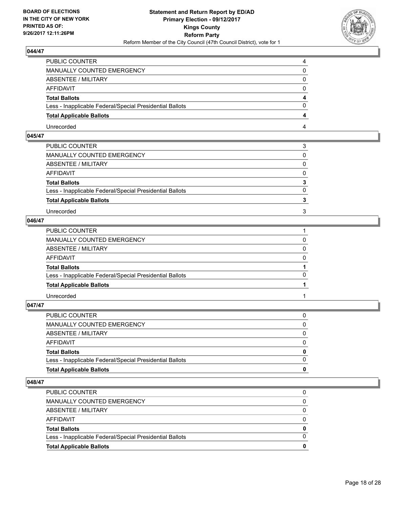

| PUBLIC COUNTER                                           |  |
|----------------------------------------------------------|--|
| <b>MANUALLY COUNTED EMERGENCY</b>                        |  |
| <b>ABSENTEE / MILITARY</b>                               |  |
| AFFIDAVIT                                                |  |
| <b>Total Ballots</b>                                     |  |
| Less - Inapplicable Federal/Special Presidential Ballots |  |
| <b>Total Applicable Ballots</b>                          |  |
| Unrecorded                                               |  |

# **045/47**

| PUBLIC COUNTER                                           | 3            |
|----------------------------------------------------------|--------------|
| MANUALLY COUNTED EMERGENCY                               | 0            |
| ABSENTEE / MILITARY                                      | $\mathbf{0}$ |
| AFFIDAVIT                                                | $\Omega$     |
| <b>Total Ballots</b>                                     | 3            |
| Less - Inapplicable Federal/Special Presidential Ballots | $\Omega$     |
| <b>Total Applicable Ballots</b>                          |              |
| Unrecorded                                               | 3            |
|                                                          |              |

# **046/47**

| PUBLIC COUNTER                                           |          |
|----------------------------------------------------------|----------|
| MANUALLY COUNTED EMERGENCY                               | $\Omega$ |
| ABSENTEE / MILITARY                                      | 0        |
| AFFIDAVIT                                                | $\Omega$ |
| <b>Total Ballots</b>                                     |          |
| Less - Inapplicable Federal/Special Presidential Ballots | $\Omega$ |
| <b>Total Applicable Ballots</b>                          |          |
| Unrecorded                                               |          |
|                                                          |          |

**047/47** 

| PUBLIC COUNTER                                           | 0            |
|----------------------------------------------------------|--------------|
| MANUALLY COUNTED EMERGENCY                               | 0            |
| ABSENTEE / MILITARY                                      | 0            |
| AFFIDAVIT                                                | $\mathbf{0}$ |
| <b>Total Ballots</b>                                     | 0            |
| Less - Inapplicable Federal/Special Presidential Ballots | $\Omega$     |
| <b>Total Applicable Ballots</b>                          |              |

| $\Omega$ |
|----------|
|          |
| $\bf{0}$ |
| $\Omega$ |
| 0        |
| 0        |
|          |
|          |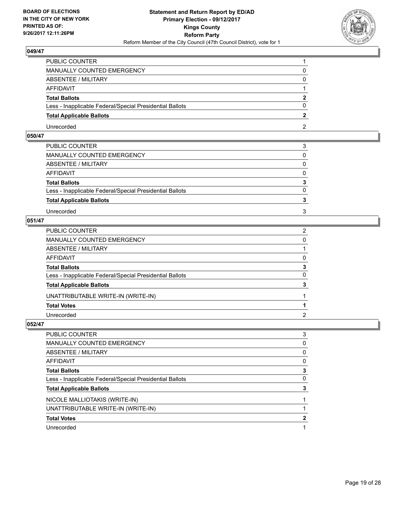

| PUBLIC COUNTER                                           |  |
|----------------------------------------------------------|--|
| <b>MANUALLY COUNTED EMERGENCY</b>                        |  |
| <b>ABSENTEE / MILITARY</b>                               |  |
| AFFIDAVIT                                                |  |
| <b>Total Ballots</b>                                     |  |
| Less - Inapplicable Federal/Special Presidential Ballots |  |
| <b>Total Applicable Ballots</b>                          |  |
| Unrecorded                                               |  |

# **050/47**

| PUBLIC COUNTER                                           | 3            |
|----------------------------------------------------------|--------------|
| MANUALLY COUNTED EMERGENCY                               | 0            |
| ABSENTEE / MILITARY                                      | $\Omega$     |
| AFFIDAVIT                                                | 0            |
| <b>Total Ballots</b>                                     | 3            |
| Less - Inapplicable Federal/Special Presidential Ballots | $\mathbf{0}$ |
| <b>Total Applicable Ballots</b>                          |              |
| Unrecorded                                               | 3            |
|                                                          |              |

# **051/47**

| PUBLIC COUNTER                                           | $\overline{2}$ |
|----------------------------------------------------------|----------------|
| MANUALLY COUNTED EMERGENCY                               | 0              |
| ABSENTEE / MILITARY                                      |                |
| AFFIDAVIT                                                | $\Omega$       |
| <b>Total Ballots</b>                                     | 3              |
| Less - Inapplicable Federal/Special Presidential Ballots | $\mathbf{0}$   |
| <b>Total Applicable Ballots</b>                          | 3              |
| UNATTRIBUTABLE WRITE-IN (WRITE-IN)                       |                |
| <b>Total Votes</b>                                       |                |
| Unrecorded                                               | 2              |

| PUBLIC COUNTER                                           | 3        |
|----------------------------------------------------------|----------|
| <b>MANUALLY COUNTED EMERGENCY</b>                        | 0        |
| <b>ABSENTEE / MILITARY</b>                               | 0        |
| <b>AFFIDAVIT</b>                                         | 0        |
| <b>Total Ballots</b>                                     | 3        |
| Less - Inapplicable Federal/Special Presidential Ballots | $\Omega$ |
| <b>Total Applicable Ballots</b>                          | 3        |
| NICOLE MALLIOTAKIS (WRITE-IN)                            |          |
| UNATTRIBUTABLE WRITE-IN (WRITE-IN)                       |          |
| <b>Total Votes</b>                                       | 2        |
| Unrecorded                                               |          |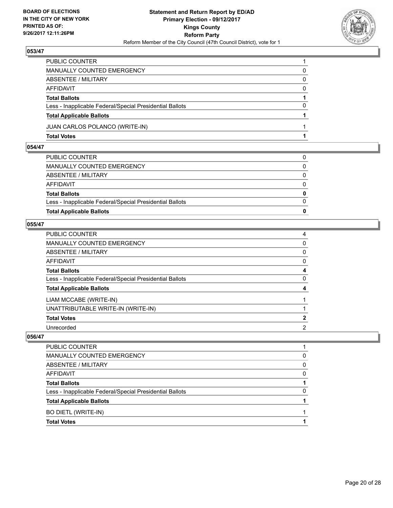

| PUBLIC COUNTER                                           |          |
|----------------------------------------------------------|----------|
| MANUALLY COUNTED EMERGENCY                               | 0        |
| ABSENTEE / MILITARY                                      | 0        |
| AFFIDAVIT                                                | $\Omega$ |
| <b>Total Ballots</b>                                     |          |
| Less - Inapplicable Federal/Special Presidential Ballots | $\Omega$ |
| <b>Total Applicable Ballots</b>                          |          |
| JUAN CARLOS POLANCO (WRITE-IN)                           |          |
| <b>Total Votes</b>                                       |          |

#### **054/47**

| <b>Total Applicable Ballots</b>                          | n            |
|----------------------------------------------------------|--------------|
|                                                          |              |
| Less - Inapplicable Federal/Special Presidential Ballots | $\Omega$     |
| <b>Total Ballots</b>                                     | $\bf{0}$     |
| AFFIDAVIT                                                | $\Omega$     |
| ABSENTEE / MILITARY                                      | $\mathbf{0}$ |
| MANUALLY COUNTED EMERGENCY                               | 0            |
| PUBLIC COUNTER                                           | 0            |
|                                                          |              |

#### **055/47**

| PUBLIC COUNTER                                           | 4            |
|----------------------------------------------------------|--------------|
| MANUALLY COUNTED EMERGENCY                               | 0            |
| ABSENTEE / MILITARY                                      | $\mathbf{0}$ |
| AFFIDAVIT                                                | 0            |
| <b>Total Ballots</b>                                     | 4            |
| Less - Inapplicable Federal/Special Presidential Ballots | 0            |
| <b>Total Applicable Ballots</b>                          | 4            |
| LIAM MCCABE (WRITE-IN)                                   |              |
| UNATTRIBUTABLE WRITE-IN (WRITE-IN)                       |              |
| <b>Total Votes</b>                                       | 2            |
| Unrecorded                                               | 2            |

| <b>PUBLIC COUNTER</b>                                    |   |
|----------------------------------------------------------|---|
| MANUALLY COUNTED EMERGENCY                               | O |
| ABSENTEE / MILITARY                                      | 0 |
| AFFIDAVIT                                                | 0 |
| <b>Total Ballots</b>                                     |   |
| Less - Inapplicable Federal/Special Presidential Ballots | 0 |
| <b>Total Applicable Ballots</b>                          |   |
| BO DIETL (WRITE-IN)                                      |   |
| <b>Total Votes</b>                                       |   |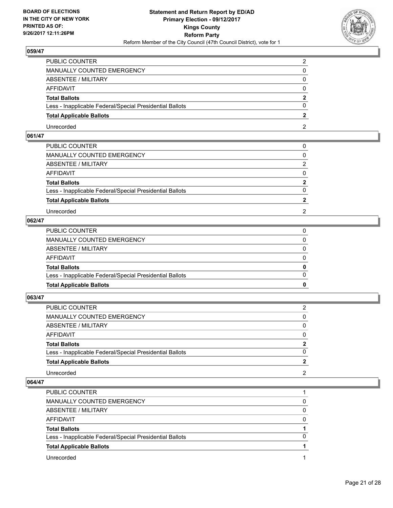

| PUBLIC COUNTER                                           |  |
|----------------------------------------------------------|--|
| MANUALLY COUNTED EMERGENCY                               |  |
| <b>ABSENTEE / MILITARY</b>                               |  |
| AFFIDAVIT                                                |  |
| <b>Total Ballots</b>                                     |  |
| Less - Inapplicable Federal/Special Presidential Ballots |  |
| <b>Total Applicable Ballots</b>                          |  |
| Unrecorded                                               |  |

# **061/47**

| PUBLIC COUNTER                                           |                |
|----------------------------------------------------------|----------------|
| MANUALLY COUNTED EMERGENCY                               | 0              |
| ABSENTEE / MILITARY                                      | 2              |
| AFFIDAVIT                                                | 0              |
| <b>Total Ballots</b>                                     | $\overline{2}$ |
| Less - Inapplicable Federal/Special Presidential Ballots | $\Omega$       |
| <b>Total Applicable Ballots</b>                          |                |
| Unrecorded                                               | 2              |
|                                                          |                |

# **062/47**

| <b>Total Applicable Ballots</b>                          | 0            |
|----------------------------------------------------------|--------------|
| Less - Inapplicable Federal/Special Presidential Ballots | $\Omega$     |
| <b>Total Ballots</b>                                     | $\mathbf{0}$ |
| AFFIDAVIT                                                | $\Omega$     |
| ABSENTEE / MILITARY                                      | 0            |
| MANUALLY COUNTED EMERGENCY                               | 0            |
| PUBLIC COUNTER                                           |              |

**063/47** 

| PUBLIC COUNTER                                           | 2            |
|----------------------------------------------------------|--------------|
| MANUALLY COUNTED EMERGENCY                               | 0            |
| ABSENTEE / MILITARY                                      | 0            |
| AFFIDAVIT                                                | $\Omega$     |
| <b>Total Ballots</b>                                     | $\mathbf{2}$ |
| Less - Inapplicable Federal/Special Presidential Ballots | $\Omega$     |
| <b>Total Applicable Ballots</b>                          |              |
| Unrecorded                                               | 2            |

| PUBLIC COUNTER                                           |   |
|----------------------------------------------------------|---|
| MANUALLY COUNTED EMERGENCY                               | 0 |
| ABSENTEE / MILITARY                                      | 0 |
| AFFIDAVIT                                                | 0 |
| <b>Total Ballots</b>                                     |   |
| Less - Inapplicable Federal/Special Presidential Ballots | 0 |
| <b>Total Applicable Ballots</b>                          |   |
| Unrecorded                                               |   |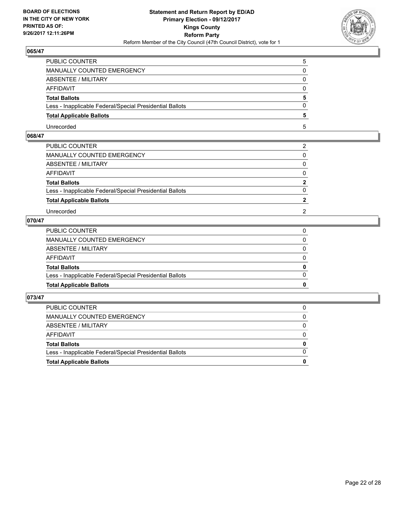

| PUBLIC COUNTER                                           |  |
|----------------------------------------------------------|--|
| <b>MANUALLY COUNTED EMERGENCY</b>                        |  |
| <b>ABSENTEE / MILITARY</b>                               |  |
| AFFIDAVIT                                                |  |
| <b>Total Ballots</b>                                     |  |
| Less - Inapplicable Federal/Special Presidential Ballots |  |
| <b>Total Applicable Ballots</b>                          |  |
| Unrecorded                                               |  |

# **068/47**

| PUBLIC COUNTER                                           | 2              |
|----------------------------------------------------------|----------------|
| MANUALLY COUNTED EMERGENCY                               | 0              |
| ABSENTEE / MILITARY                                      | $\mathbf{0}$   |
| AFFIDAVIT                                                | $\mathbf{0}$   |
| <b>Total Ballots</b>                                     | $\mathbf{2}$   |
| Less - Inapplicable Federal/Special Presidential Ballots | 0              |
| <b>Total Applicable Ballots</b>                          | $\overline{2}$ |
| Unrecorded                                               | 2              |
|                                                          |                |

# **070/47**

| PUBLIC COUNTER                                           |              |
|----------------------------------------------------------|--------------|
| MANUALLY COUNTED EMERGENCY                               | $\mathbf{0}$ |
| ABSENTEE / MILITARY                                      | $\Omega$     |
| AFFIDAVIT                                                | $\Omega$     |
| <b>Total Ballots</b>                                     | 0            |
| Less - Inapplicable Federal/Special Presidential Ballots | $\Omega$     |
| <b>Total Applicable Ballots</b>                          | 0            |
|                                                          |              |

| <b>Total Applicable Ballots</b>                          | 0        |
|----------------------------------------------------------|----------|
| Less - Inapplicable Federal/Special Presidential Ballots | $\Omega$ |
| <b>Total Ballots</b>                                     | $\bf{0}$ |
| <b>AFFIDAVIT</b>                                         | $\Omega$ |
| ABSENTEE / MILITARY                                      | 0        |
| MANUALLY COUNTED EMERGENCY                               | $\Omega$ |
| PUBLIC COUNTER                                           | 0        |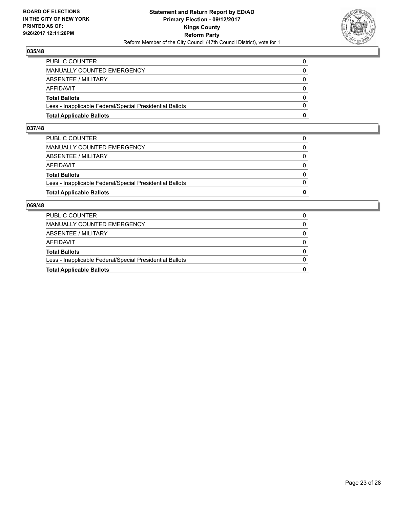

| <b>Total Applicable Ballots</b>                          | o        |
|----------------------------------------------------------|----------|
| Less - Inapplicable Federal/Special Presidential Ballots | $\Omega$ |
| <b>Total Ballots</b>                                     | 0        |
| AFFIDAVIT                                                | 0        |
| <b>ABSENTEE / MILITARY</b>                               | $\Omega$ |
| MANUALLY COUNTED EMERGENCY                               | 0        |
| <b>PUBLIC COUNTER</b>                                    |          |

#### **037/48**

| <b>Total Applicable Ballots</b>                          | $\bf{0}$     |
|----------------------------------------------------------|--------------|
| Less - Inapplicable Federal/Special Presidential Ballots | $\Omega$     |
| <b>Total Ballots</b>                                     | 0            |
| AFFIDAVIT                                                | 0            |
| ABSENTEE / MILITARY                                      | $\Omega$     |
| MANUALLY COUNTED EMERGENCY                               | $\mathbf{0}$ |
| PUBLIC COUNTER                                           | 0            |
|                                                          |              |

| <b>Total Applicable Ballots</b>                          | 0            |
|----------------------------------------------------------|--------------|
| Less - Inapplicable Federal/Special Presidential Ballots | 0            |
| <b>Total Ballots</b>                                     | 0            |
| AFFIDAVIT                                                | 0            |
| ABSENTEE / MILITARY                                      | 0            |
| MANUALLY COUNTED EMERGENCY                               | $\mathbf{0}$ |
| <b>PUBLIC COUNTER</b>                                    |              |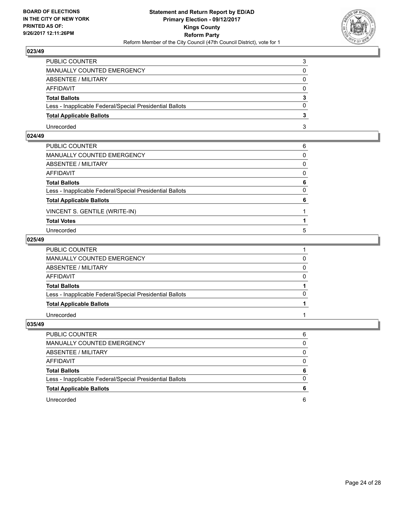

| PUBLIC COUNTER                                           | 3        |
|----------------------------------------------------------|----------|
| <b>MANUALLY COUNTED EMERGENCY</b>                        | 0        |
| <b>ABSENTEE / MILITARY</b>                               | $\Omega$ |
| AFFIDAVIT                                                | $\Omega$ |
| <b>Total Ballots</b>                                     | 3        |
| Less - Inapplicable Federal/Special Presidential Ballots | 0        |
| <b>Total Applicable Ballots</b>                          |          |
| Unrecorded                                               | 3        |

# **024/49**

| PUBLIC COUNTER                                           | 6        |
|----------------------------------------------------------|----------|
| MANUALLY COUNTED EMERGENCY                               | 0        |
| ABSENTEE / MILITARY                                      | 0        |
| AFFIDAVIT                                                | $\Omega$ |
| <b>Total Ballots</b>                                     | 6        |
| Less - Inapplicable Federal/Special Presidential Ballots | 0        |
| <b>Total Applicable Ballots</b>                          | 6        |
| VINCENT S. GENTILE (WRITE-IN)                            |          |
| <b>Total Votes</b>                                       |          |
| Unrecorded                                               | 5        |

#### **025/49**

| PUBLIC COUNTER                                           |          |
|----------------------------------------------------------|----------|
| MANUALLY COUNTED EMERGENCY                               |          |
| <b>ABSENTEE / MILITARY</b>                               | $\Omega$ |
| AFFIDAVIT                                                | $\Omega$ |
| <b>Total Ballots</b>                                     |          |
| Less - Inapplicable Federal/Special Presidential Ballots | $\Omega$ |
| <b>Total Applicable Ballots</b>                          |          |
| Unrecorded                                               |          |

| <b>PUBLIC COUNTER</b>                                    | 6 |
|----------------------------------------------------------|---|
| MANUALLY COUNTED EMERGENCY                               | 0 |
| ABSENTEE / MILITARY                                      | 0 |
| AFFIDAVIT                                                | 0 |
| <b>Total Ballots</b>                                     | 6 |
| Less - Inapplicable Federal/Special Presidential Ballots | O |
| <b>Total Applicable Ballots</b>                          |   |
| Unrecorded                                               | 6 |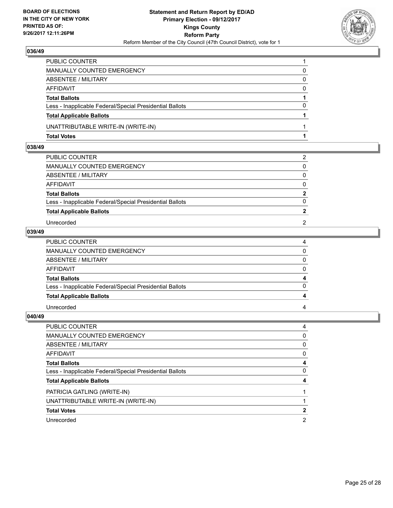

| PUBLIC COUNTER                                           |          |
|----------------------------------------------------------|----------|
| MANUALLY COUNTED EMERGENCY                               | 0        |
| ABSENTEE / MILITARY                                      | 0        |
| AFFIDAVIT                                                | $\Omega$ |
| <b>Total Ballots</b>                                     |          |
| Less - Inapplicable Federal/Special Presidential Ballots | $\Omega$ |
| <b>Total Applicable Ballots</b>                          |          |
| UNATTRIBUTABLE WRITE-IN (WRITE-IN)                       |          |
| <b>Total Votes</b>                                       |          |

# **038/49**

| PUBLIC COUNTER                                           | 2            |
|----------------------------------------------------------|--------------|
| MANUALLY COUNTED EMERGENCY                               | 0            |
| ABSENTEE / MILITARY                                      | $\mathbf{0}$ |
| AFFIDAVIT                                                | 0            |
| <b>Total Ballots</b>                                     | $\mathbf{2}$ |
| Less - Inapplicable Federal/Special Presidential Ballots | $\Omega$     |
| <b>Total Applicable Ballots</b>                          |              |
| Unrecorded                                               | 2            |
|                                                          |              |

# **039/49**

| PUBLIC COUNTER                                           |  |
|----------------------------------------------------------|--|
| MANUALLY COUNTED EMERGENCY                               |  |
| ABSENTEE / MILITARY                                      |  |
| AFFIDAVIT                                                |  |
| <b>Total Ballots</b>                                     |  |
| Less - Inapplicable Federal/Special Presidential Ballots |  |
| <b>Total Applicable Ballots</b>                          |  |
| Unrecorded                                               |  |

| PUBLIC COUNTER                                           | 4 |
|----------------------------------------------------------|---|
| MANUALLY COUNTED EMERGENCY                               | 0 |
| ABSENTEE / MILITARY                                      | 0 |
| AFFIDAVIT                                                | 0 |
| <b>Total Ballots</b>                                     | 4 |
| Less - Inapplicable Federal/Special Presidential Ballots | 0 |
| <b>Total Applicable Ballots</b>                          | 4 |
| PATRICIA GATLING (WRITE-IN)                              |   |
| UNATTRIBUTABLE WRITE-IN (WRITE-IN)                       |   |
| <b>Total Votes</b>                                       | 2 |
| Unrecorded                                               | 2 |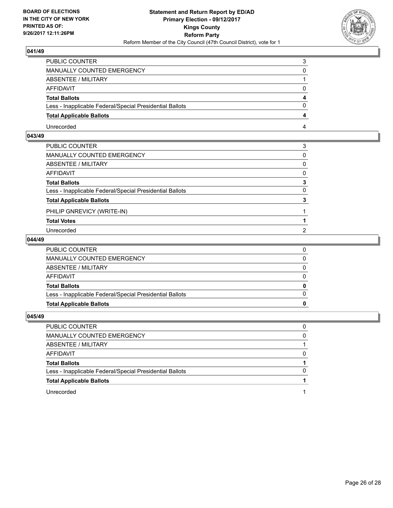

| PUBLIC COUNTER                                           |   |
|----------------------------------------------------------|---|
| <b>MANUALLY COUNTED EMERGENCY</b>                        |   |
| <b>ABSENTEE / MILITARY</b>                               |   |
| AFFIDAVIT                                                |   |
| <b>Total Ballots</b>                                     |   |
| Less - Inapplicable Federal/Special Presidential Ballots | 0 |
| <b>Total Applicable Ballots</b>                          |   |
| Unrecorded                                               |   |

# **043/49**

| 0<br>0<br>0<br>3<br>$\Omega$<br>3<br>2 | PUBLIC COUNTER                                           | 3 |
|----------------------------------------|----------------------------------------------------------|---|
|                                        | MANUALLY COUNTED EMERGENCY                               |   |
|                                        | ABSENTEE / MILITARY                                      |   |
|                                        | AFFIDAVIT                                                |   |
|                                        | Total Ballots                                            |   |
|                                        | Less - Inapplicable Federal/Special Presidential Ballots |   |
|                                        | <b>Total Applicable Ballots</b>                          |   |
|                                        | PHILIP GNREVICY (WRITE-IN)                               |   |
|                                        | <b>Total Votes</b>                                       |   |
|                                        | Unrecorded                                               |   |

#### **044/49**

| <b>Total Applicable Ballots</b>                          |  |
|----------------------------------------------------------|--|
| Less - Inapplicable Federal/Special Presidential Ballots |  |
| <b>Total Ballots</b>                                     |  |
| AFFIDAVIT                                                |  |
| ABSENTEE / MILITARY                                      |  |
| MANUALLY COUNTED EMERGENCY                               |  |
| PUBLIC COUNTER                                           |  |

| PUBLIC COUNTER                                           | 0 |
|----------------------------------------------------------|---|
| MANUALLY COUNTED EMERGENCY                               | 0 |
| ABSENTEE / MILITARY                                      |   |
| AFFIDAVIT                                                | 0 |
| <b>Total Ballots</b>                                     |   |
| Less - Inapplicable Federal/Special Presidential Ballots | 0 |
| <b>Total Applicable Ballots</b>                          |   |
| Unrecorded                                               |   |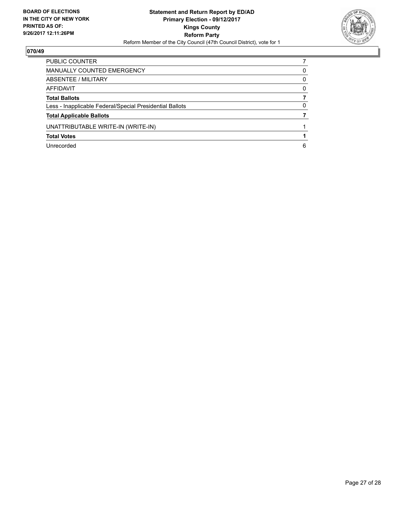

| PUBLIC COUNTER                                           |          |
|----------------------------------------------------------|----------|
| MANUALLY COUNTED EMERGENCY                               | 0        |
| ABSENTEE / MILITARY                                      | 0        |
| AFFIDAVIT                                                | $\Omega$ |
| <b>Total Ballots</b>                                     |          |
| Less - Inapplicable Federal/Special Presidential Ballots | 0        |
| <b>Total Applicable Ballots</b>                          |          |
| UNATTRIBUTABLE WRITE-IN (WRITE-IN)                       |          |
| <b>Total Votes</b>                                       |          |
| Unrecorded                                               | 6        |